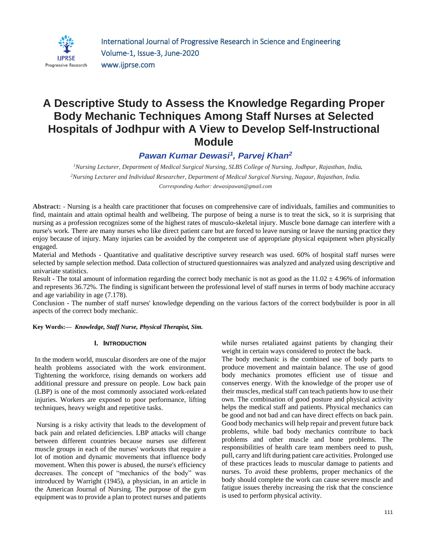

# **A Descriptive Study to Assess the Knowledge Regarding Proper Body Mechanic Techniques Among Staff Nurses at Selected Hospitals of Jodhpur with A View to Develop Self-Instructional Module**

# *Pawan Kumar Dewasi<sup>1</sup> , Parvej Khan<sup>2</sup>*

*<sup>1</sup>Nursing Lecturer, Department of Medical Surgical Nursing, SLBS College of Nursing, Jodhpur, Rajasthan, India. <sup>2</sup>Nursing Lecturer and Individual Researcher, Department of Medical Surgical Nursing, Nagaur, Rajasthan, India. Corresponding Author: dewasipawan@gmail.com*

**Abstract: -** Nursing is a health care practitioner that focuses on comprehensive care of individuals, families and communities to find, maintain and attain optimal health and wellbeing. The purpose of being a nurse is to treat the sick, so it is surprising that nursing as a profession recognizes some of the highest rates of musculo-skeletal injury. Muscle bone damage can interfere with a nurse's work. There are many nurses who like direct patient care but are forced to leave nursing or leave the nursing practice they enjoy because of injury. Many injuries can be avoided by the competent use of appropriate physical equipment when physically engaged.

Material and Methods - Quantitative and qualitative descriptive survey research was used. 60% of hospital staff nurses were selected by sample selection method. Data collection of structured questionnaires was analyzed and analyzed using descriptive and univariate statistics.

Result - The total amount of information regarding the correct body mechanic is not as good as the  $11.02 \pm 4.96\%$  of information and represents 36.72%. The finding is significant between the professional level of staff nurses in terms of body machine accuracy and age variability in age (7.178).

Conclusion - The number of staff nurses' knowledge depending on the various factors of the correct bodybuilder is poor in all aspects of the correct body mechanic.

**Key Words:—** *Knowledge, Staff Nurse, Physical Therapist, Sim.*

## **I. INTRODUCTION**

In the modern world, muscular disorders are one of the major health problems associated with the work environment. Tightening the workforce, rising demands on workers add additional pressure and pressure on people. Low back pain (LBP) is one of the most commonly associated work-related injuries. Workers are exposed to poor performance, lifting techniques, heavy weight and repetitive tasks.

Nursing is a risky activity that leads to the development of back pain and related deficiencies. LBP attacks will change between different countries because nurses use different muscle groups in each of the nurses' workouts that require a lot of motion and dynamic movements that influence body movement. When this power is abused, the nurse's efficiency decreases. The concept of "mechanics of the body" was introduced by Warright (1945), a physician, in an article in the American Journal of Nursing. The purpose of the gym equipment was to provide a plan to protect nurses and patients while nurses retaliated against patients by changing their weight in certain ways considered to protect the back.

The body mechanic is the combined use of body parts to produce movement and maintain balance. The use of good body mechanics promotes efficient use of tissue and conserves energy. With the knowledge of the proper use of their muscles, medical staff can teach patients how to use their own. The combination of good posture and physical activity helps the medical staff and patients. Physical mechanics can be good and not bad and can have direct effects on back pain. Good body mechanics will help repair and prevent future back problems, while bad body mechanics contribute to back problems and other muscle and bone problems. The responsibilities of health care team members need to push, pull, carry and lift during patient care activities. Prolonged use of these practices leads to muscular damage to patients and nurses. To avoid these problems, proper mechanics of the body should complete the work can cause severe muscle and fatigue issues thereby increasing the risk that the conscience is used to perform physical activity.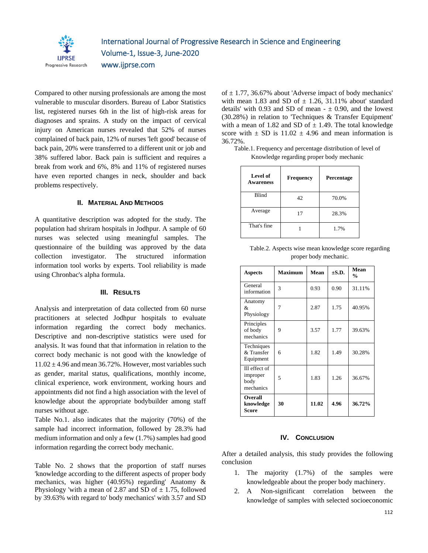

Compared to other nursing professionals are among the most vulnerable to muscular disorders. Bureau of Labor Statistics list, registered nurses 6th in the list of high-risk areas for diagnoses and sprains. A study on the impact of cervical injury on American nurses revealed that 52% of nurses complained of back pain, 12% of nurses 'left good' because of back pain, 20% were transferred to a different unit or job and 38% suffered labor. Back pain is sufficient and requires a break from work and 6%, 8% and 11% of registered nurses have even reported changes in neck, shoulder and back problems respectively.

#### **II. MATERIAL AND METHODS**

A quantitative description was adopted for the study. The population had shriram hospitals in Jodhpur. A sample of 60 nurses was selected using meaningful samples. The questionnaire of the building was approved by the data collection investigator. The structured information information tool works by experts. Tool reliability is made using Chronbac's alpha formula.

#### **III. RESULTS**

Analysis and interpretation of data collected from 60 nurse practitioners at selected Jodhpur hospitals to evaluate information regarding the correct body mechanics. Descriptive and non-descriptive statistics were used for analysis. It was found that that information in relation to the correct body mechanic is not good with the knowledge of  $11.02 \pm 4.96$  and mean 36.72%. However, most variables such as gender, marital status, qualifications, monthly income, clinical experience, work environment, working hours and appointments did not find a high association with the level of knowledge about the appropriate bodybuilder among staff nurses without age.

Table No.1. also indicates that the majority (70%) of the sample had incorrect information, followed by 28.3% had medium information and only a few (1.7%) samples had good information regarding the correct body mechanic.

Table No. 2 shows that the proportion of staff nurses 'knowledge according to the different aspects of proper body mechanics, was higher (40.95%) regarding' Anatomy & Physiology 'with a mean of 2.87 and SD of  $\pm$  1.75, followed by 39.63% with regard to' body mechanics' with 3.57 and SD of  $\pm$  1.77, 36.67% about 'Adverse impact of body mechanics' with mean 1.83 and SD of  $\pm$  1.26, 31.11% about' standard details' with 0.93 and SD of mean  $- \pm 0.90$ , and the lowest (30.28%) in relation to 'Techniques & Transfer Equipment' with a mean of 1.82 and SD of  $\pm$  1.49. The total knowledge score with  $\pm$  SD is 11.02  $\pm$  4.96 and mean information is 36.72%.

| Level of<br><b>Awareness</b> | <b>Frequency</b> | Percentage |  |  |
|------------------------------|------------------|------------|--|--|
| <b>Blind</b>                 | 42               | 70.0%      |  |  |
| Average                      | 17               | 28.3%      |  |  |
| That's fine                  |                  | 1.7%       |  |  |

| Table. 1. Frequency and percentage distribution of level of |  |
|-------------------------------------------------------------|--|
| Knowledge regarding proper body mechanic                    |  |

| Table.2. Aspects wise mean knowledge score regarding |
|------------------------------------------------------|
| proper body mechanic.                                |

| <b>Aspects</b>                                 | <b>Maximum</b> | Mean  | $\pm$ S.D. | Mean<br>$\frac{0}{0}$ |
|------------------------------------------------|----------------|-------|------------|-----------------------|
| General<br>information                         | 3              | 0.93  | 0.90       | 31.11%                |
| Anatomy<br>&<br>Physiology                     | 7              | 2.87  | 1.75       | 40.95%                |
| Principles<br>of body<br>mechanics             | 9              | 3.57  | 1.77       | 39.63%                |
| Techniques<br>& Transfer<br>Equipment          | 6              | 1.82  | 1.49       | 30.28%                |
| Ill effect of<br>improper<br>body<br>mechanics | 5              | 1.83  | 1.26       | 36.67%                |
| Overall<br>knowledge<br>Score                  | 30             | 11.02 | 4.96       | 36.72%                |

## **IV. CONCLUSION**

After a detailed analysis, this study provides the following conclusion

- 1. The majority (1.7%) of the samples were knowledgeable about the proper body machinery.
- 2. A Non-significant correlation between the knowledge of samples with selected socioeconomic